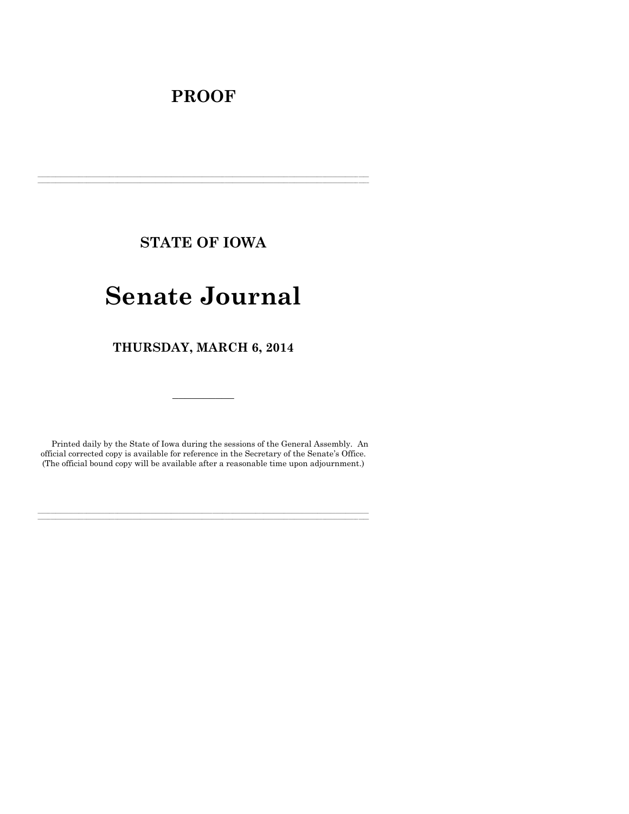## **PROOF**

**STATE OF IOWA**

**\_\_\_\_\_\_\_\_\_\_\_\_\_\_\_\_\_\_\_\_\_\_\_\_\_\_\_\_\_\_\_\_\_\_\_\_\_\_\_\_\_\_\_\_\_\_\_\_\_\_\_\_\_\_\_\_\_\_\_\_\_\_\_\_\_\_\_\_\_\_\_\_\_\_\_\_\_\_\_\_\_\_\_\_\_\_\_\_\_\_\_\_\_\_\_\_\_\_\_\_\_\_\_\_\_\_\_\_\_\_\_\_\_\_\_\_\_\_\_\_\_\_\_\_\_\_\_\_\_ \_\_\_\_\_\_\_\_\_\_\_\_\_\_\_\_\_\_\_\_\_\_\_\_\_\_\_\_\_\_\_\_\_\_\_\_\_\_\_\_\_\_\_\_\_\_\_\_\_\_\_\_\_\_\_\_\_\_\_\_\_\_\_\_\_\_\_\_\_\_\_\_\_\_\_\_\_\_\_\_\_\_\_\_\_\_\_\_\_\_\_\_\_\_\_\_\_\_\_\_\_\_\_\_\_\_\_\_\_\_\_\_\_\_\_\_\_\_\_\_\_\_\_\_\_\_\_\_\_**

# **Senate Journal**

**THURSDAY, MARCH 6, 2014**

Printed daily by the State of Iowa during the sessions of the General Assembly. An official corrected copy is available for reference in the Secretary of the Senate's Office. (The official bound copy will be available after a reasonable time upon adjournment.)

**\_\_\_\_\_\_\_\_\_\_\_\_\_\_\_\_\_\_\_\_\_\_\_\_\_\_\_\_\_\_\_\_\_\_\_\_\_\_\_\_\_\_\_\_\_\_\_\_\_\_\_\_\_\_\_\_\_\_\_\_\_\_\_\_\_\_\_\_\_\_\_\_\_\_\_\_\_\_\_\_\_\_\_\_\_\_\_\_\_\_\_\_\_\_\_\_\_\_\_\_\_\_\_\_\_\_\_\_\_\_\_\_\_\_\_\_\_\_\_\_\_\_\_\_\_\_\_\_\_ \_\_\_\_\_\_\_\_\_\_\_\_\_\_\_\_\_\_\_\_\_\_\_\_\_\_\_\_\_\_\_\_\_\_\_\_\_\_\_\_\_\_\_\_\_\_\_\_\_\_\_\_\_\_\_\_\_\_\_\_\_\_\_\_\_\_\_\_\_\_\_\_\_\_\_\_\_\_\_\_\_\_\_\_\_\_\_\_\_\_\_\_\_\_\_\_\_\_\_\_\_\_\_\_\_\_\_\_\_\_\_\_\_\_\_\_\_\_\_\_\_\_\_\_\_\_\_\_\_**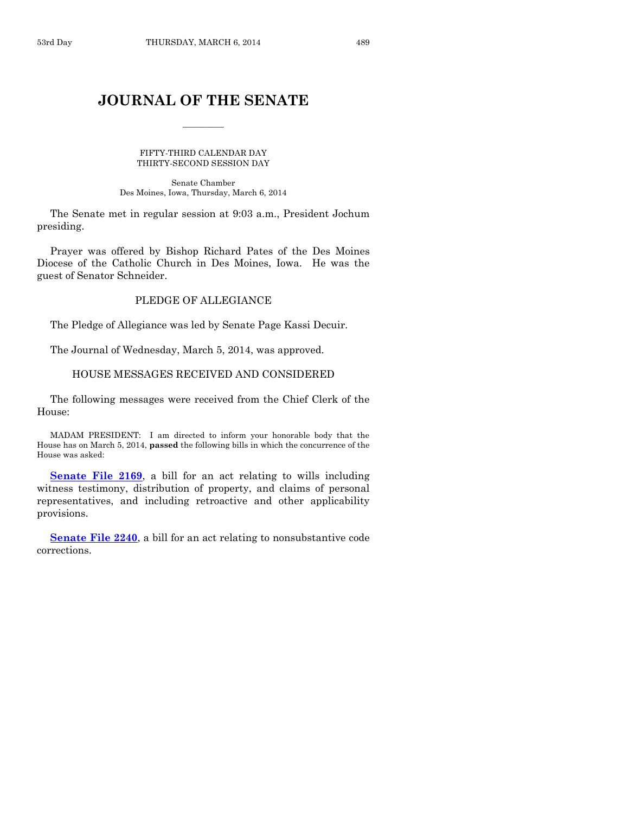## **JOURNAL OF THE SENATE**

 $\frac{1}{2}$ 

FIFTY-THIRD CALENDAR DAY THIRTY-SECOND SESSION DAY

Senate Chamber Des Moines, Iowa, Thursday, March 6, 2014

The Senate met in regular session at 9:03 a.m., President Jochum presiding.

Prayer was offered by Bishop Richard Pates of the Des Moines Diocese of the Catholic Church in Des Moines, Iowa. He was the guest of Senator Schneider.

## PLEDGE OF ALLEGIANCE

The Pledge of Allegiance was led by Senate Page Kassi Decuir.

The Journal of Wednesday, March 5, 2014, was approved.

## HOUSE MESSAGES RECEIVED AND CONSIDERED

The following messages were received from the Chief Clerk of the House:

MADAM PRESIDENT: I am directed to inform your honorable body that the House has on March 5, 2014, **passed** the following bills in which the concurrence of the House was asked:

**[Senate File 2169](http://coolice.legis.iowa.gov/Cool-ICE/default.asp?Category=billinfo&Service=Billbook&frame=1&GA=85&hbill=SF2169)**, a bill for an act relating to wills including witness testimony, distribution of property, and claims of personal representatives, and including retroactive and other applicability provisions.

**[Senate File 2240](http://coolice.legis.iowa.gov/Cool-ICE/default.asp?Category=billinfo&Service=Billbook&frame=1&GA=85&hbill=SF2240)**, a bill for an act relating to nonsubstantive code corrections.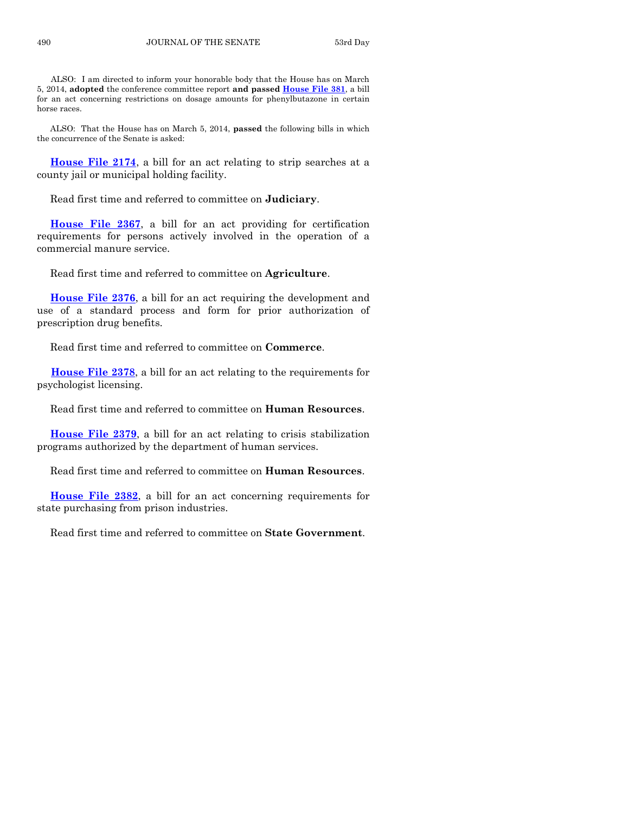ALSO: I am directed to inform your honorable body that the House has on March 5, 2014, **adopted** the conference committee report **and passed [House File 381](http://coolice.legis.iowa.gov/Cool-ICE/default.asp?Category=billinfo&Service=Billbook&frame=1&GA=85&hbill=HF381)**, a bill for an act concerning restrictions on dosage amounts for phenylbutazone in certain horse races.

ALSO: That the House has on March 5, 2014, **passed** the following bills in which the concurrence of the Senate is asked:

**[House File 2174](http://coolice.legis.iowa.gov/Cool-ICE/default.asp?Category=billinfo&Service=Billbook&frame=1&GA=85&hbill=HF2174)**, a bill for an act relating to strip searches at a county jail or municipal holding facility.

Read first time and referred to committee on **Judiciary**.

**[House File 2367](http://coolice.legis.iowa.gov/Cool-ICE/default.asp?Category=billinfo&Service=Billbook&frame=1&GA=85&hbill=HF2367)**, a bill for an act providing for certification requirements for persons actively involved in the operation of a commercial manure service.

Read first time and referred to committee on **Agriculture**.

**[House File 2376](http://coolice.legis.iowa.gov/Cool-ICE/default.asp?Category=billinfo&Service=Billbook&frame=1&GA=85&hbill=HF2376)**, a bill for an act requiring the development and use of a standard process and form for prior authorization of prescription drug benefits.

Read first time and referred to committee on **Commerce**.

**[House File 2378](http://coolice.legis.iowa.gov/Cool-ICE/default.asp?Category=billinfo&Service=Billbook&frame=1&GA=85&hbill=HF2378)**, a bill for an act relating to the requirements for psychologist licensing.

Read first time and referred to committee on **Human Resources**.

**[House File 2379](http://coolice.legis.iowa.gov/Cool-ICE/default.asp?Category=billinfo&Service=Billbook&frame=1&GA=85&hbill=HF2379)**, a bill for an act relating to crisis stabilization programs authorized by the department of human services.

Read first time and referred to committee on **Human Resources**.

**[House File 2382](http://coolice.legis.iowa.gov/Cool-ICE/default.asp?Category=billinfo&Service=Billbook&frame=1&GA=85&hbill=HF2382)**, a bill for an act concerning requirements for state purchasing from prison industries.

Read first time and referred to committee on **State Government**.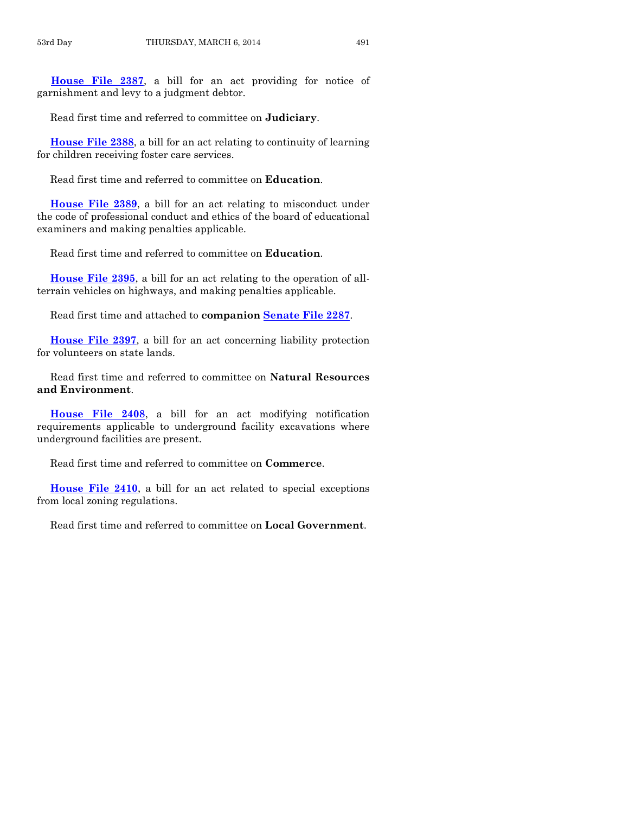**[House File 2387](http://coolice.legis.iowa.gov/Cool-ICE/default.asp?Category=billinfo&Service=Billbook&frame=1&GA=85&hbill=HF2387)**, a bill for an act providing for notice of garnishment and levy to a judgment debtor.

Read first time and referred to committee on **Judiciary**.

**[House File 2388](http://coolice.legis.iowa.gov/Cool-ICE/default.asp?Category=billinfo&Service=Billbook&frame=1&GA=85&hbill=HF2388)**, a bill for an act relating to continuity of learning for children receiving foster care services.

Read first time and referred to committee on **Education**.

**[House File 2389](http://coolice.legis.iowa.gov/Cool-ICE/default.asp?Category=billinfo&Service=Billbook&frame=1&GA=85&hbill=HF2389)**, a bill for an act relating to misconduct under the code of professional conduct and ethics of the board of educational examiners and making penalties applicable.

Read first time and referred to committee on **Education**.

**[House File 2395](http://coolice.legis.iowa.gov/Cool-ICE/default.asp?Category=billinfo&Service=Billbook&frame=1&GA=85&hbill=HF2395)**, a bill for an act relating to the operation of allterrain vehicles on highways, and making penalties applicable.

Read first time and attached to **companion [Senate File 2287](http://coolice.legis.iowa.gov/Cool-ICE/default.asp?Category=billinfo&Service=Billbook&frame=1&GA=85&hbill=SF2287)**.

**[House File 2397](http://coolice.legis.iowa.gov/Cool-ICE/default.asp?Category=billinfo&Service=Billbook&frame=1&GA=85&hbill=HF2397)**, a bill for an act concerning liability protection for volunteers on state lands.

Read first time and referred to committee on **Natural Resources and Environment**.

**[House File 2408](http://coolice.legis.iowa.gov/Cool-ICE/default.asp?Category=billinfo&Service=Billbook&frame=1&GA=85&hbill=HF2408)**, a bill for an act modifying notification requirements applicable to underground facility excavations where underground facilities are present.

Read first time and referred to committee on **Commerce**.

**[House File 2410](http://coolice.legis.iowa.gov/Cool-ICE/default.asp?Category=billinfo&Service=Billbook&frame=1&GA=85&hbill=HF2410)**, a bill for an act related to special exceptions from local zoning regulations.

Read first time and referred to committee on **Local Government**.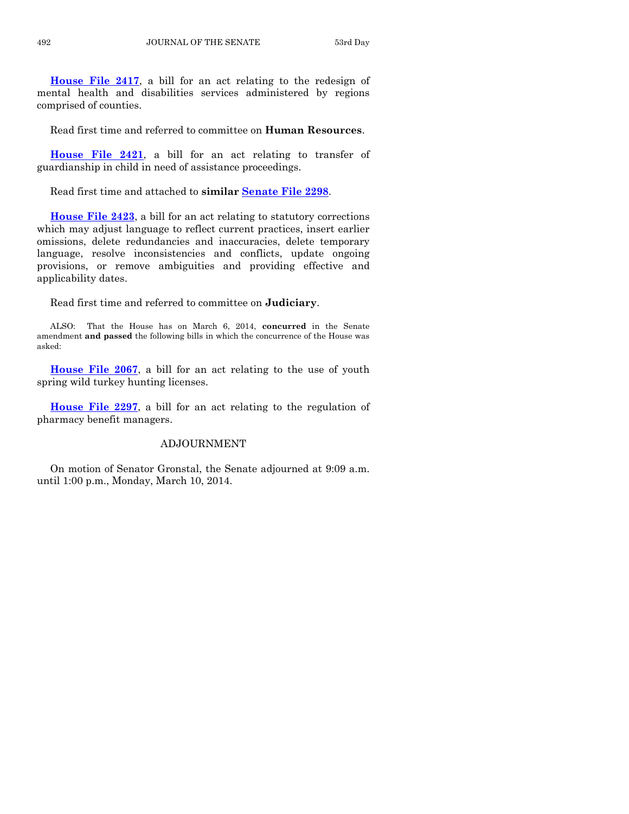**[House File 2417](http://coolice.legis.iowa.gov/Cool-ICE/default.asp?Category=billinfo&Service=Billbook&frame=1&GA=85&hbill=HF2417)**, a bill for an act relating to the redesign of mental health and disabilities services administered by regions comprised of counties.

Read first time and referred to committee on **Human Resources**.

**[House File 2421](http://coolice.legis.iowa.gov/Cool-ICE/default.asp?Category=billinfo&Service=Billbook&frame=1&GA=85&hbill=HF2421)**, a bill for an act relating to transfer of guardianship in child in need of assistance proceedings.

Read first time and attached to **similar [Senate File 2298](http://coolice.legis.iowa.gov/Cool-ICE/default.asp?Category=billinfo&Service=Billbook&frame=1&GA=85&hbill=SF2298)**.

**[House File 2423](http://coolice.legis.iowa.gov/Cool-ICE/default.asp?Category=billinfo&Service=Billbook&frame=1&GA=85&hbill=HF2423)**, a bill for an act relating to statutory corrections which may adjust language to reflect current practices, insert earlier omissions, delete redundancies and inaccuracies, delete temporary language, resolve inconsistencies and conflicts, update ongoing provisions, or remove ambiguities and providing effective and applicability dates.

Read first time and referred to committee on **Judiciary**.

ALSO: That the House has on March 6, 2014, **concurred** in the Senate amendment **and passed** the following bills in which the concurrence of the House was asked:

**[House File 2067](http://coolice.legis.iowa.gov/Cool-ICE/default.asp?Category=billinfo&Service=Billbook&frame=1&GA=85&hbill=HF2067)**, a bill for an act relating to the use of youth spring wild turkey hunting licenses.

**[House File 2297](http://coolice.legis.iowa.gov/Cool-ICE/default.asp?Category=billinfo&Service=Billbook&frame=1&GA=85&hbill=HF2297)**, a bill for an act relating to the regulation of pharmacy benefit managers.

## ADJOURNMENT

On motion of Senator Gronstal, the Senate adjourned at 9:09 a.m. until 1:00 p.m., Monday, March 10, 2014.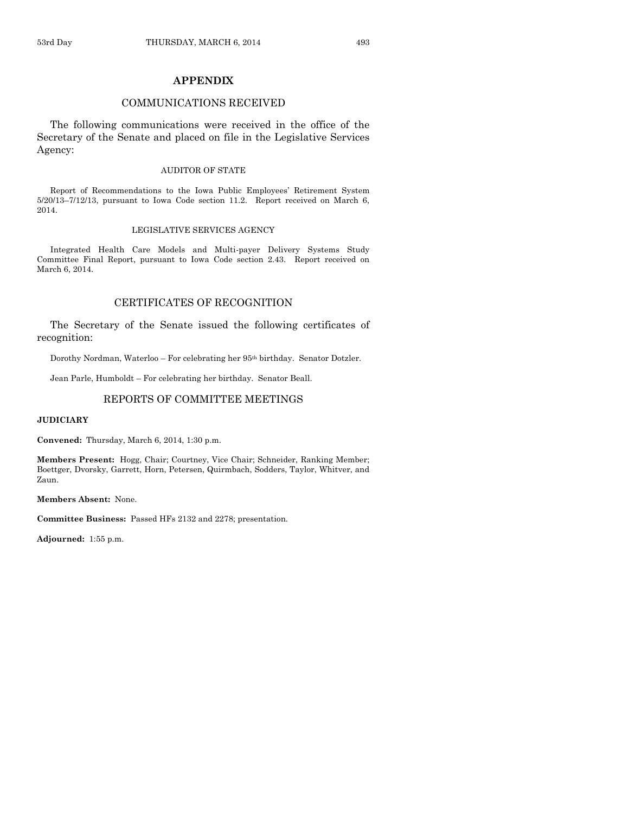## **APPENDIX**

## COMMUNICATIONS RECEIVED

The following communications were received in the office of the Secretary of the Senate and placed on file in the Legislative Services Agency:

#### AUDITOR OF STATE

Report of Recommendations to the Iowa Public Employees' Retirement System 5/20/13–7/12/13, pursuant to Iowa Code section 11.2. Report received on March 6, 2014.

#### LEGISLATIVE SERVICES AGENCY

Integrated Health Care Models and Multi-payer Delivery Systems Study Committee Final Report, pursuant to Iowa Code section 2.43. Report received on March 6, 2014.

## CERTIFICATES OF RECOGNITION

The Secretary of the Senate issued the following certificates of recognition:

Dorothy Nordman, Waterloo – For celebrating her 95th birthday. Senator Dotzler.

Jean Parle, Humboldt – For celebrating her birthday. Senator Beall.

## REPORTS OF COMMITTEE MEETINGS

#### **JUDICIARY**

**Convened:** Thursday, March 6, 2014, 1:30 p.m.

**Members Present:** Hogg, Chair; Courtney, Vice Chair; Schneider, Ranking Member; Boettger, Dvorsky, Garrett, Horn, Petersen, Quirmbach, Sodders, Taylor, Whitver, and Zaun.

**Members Absent:** None.

**Committee Business:** Passed HFs 2132 and 2278; presentation.

**Adjourned:** 1:55 p.m.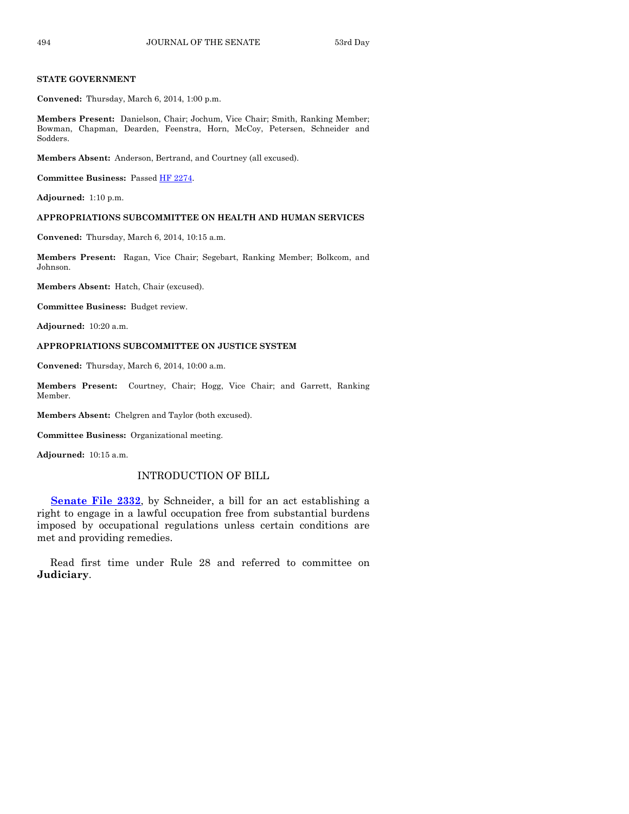#### **STATE GOVERNMENT**

**Convened:** Thursday, March 6, 2014, 1:00 p.m.

**Members Present:** Danielson, Chair; Jochum, Vice Chair; Smith, Ranking Member; Bowman, Chapman, Dearden, Feenstra, Horn, McCoy, Petersen, Schneider and Sodders.

**Members Absent:** Anderson, Bertrand, and Courtney (all excused).

**Committee Business:** Passed [HF 2274.](http://coolice.legis.iowa.gov/Cool-ICE/default.asp?Category=billinfo&Service=Billbook&frame=1&GA=85&hbill=HF2274)

**Adjourned:** 1:10 p.m.

#### **APPROPRIATIONS SUBCOMMITTEE ON HEALTH AND HUMAN SERVICES**

**Convened:** Thursday, March 6, 2014, 10:15 a.m.

**Members Present:** Ragan, Vice Chair; Segebart, Ranking Member; Bolkcom, and Johnson.

**Members Absent:** Hatch, Chair (excused).

**Committee Business:** Budget review.

**Adjourned:** 10:20 a.m.

## **APPROPRIATIONS SUBCOMMITTEE ON JUSTICE SYSTEM**

**Convened:** Thursday, March 6, 2014, 10:00 a.m.

**Members Present:** Courtney, Chair; Hogg, Vice Chair; and Garrett, Ranking Member.

**Members Absent:** Chelgren and Taylor (both excused).

**Committee Business:** Organizational meeting.

**Adjourned:** 10:15 a.m.

## INTRODUCTION OF BILL

**[Senate File 2332](http://coolice.legis.iowa.gov/Cool-ICE/default.asp?Category=billinfo&Service=Billbook&frame=1&GA=85&hbill=SF2332)**, by Schneider, a bill for an act establishing a right to engage in a lawful occupation free from substantial burdens imposed by occupational regulations unless certain conditions are met and providing remedies.

Read first time under Rule 28 and referred to committee on **Judiciary**.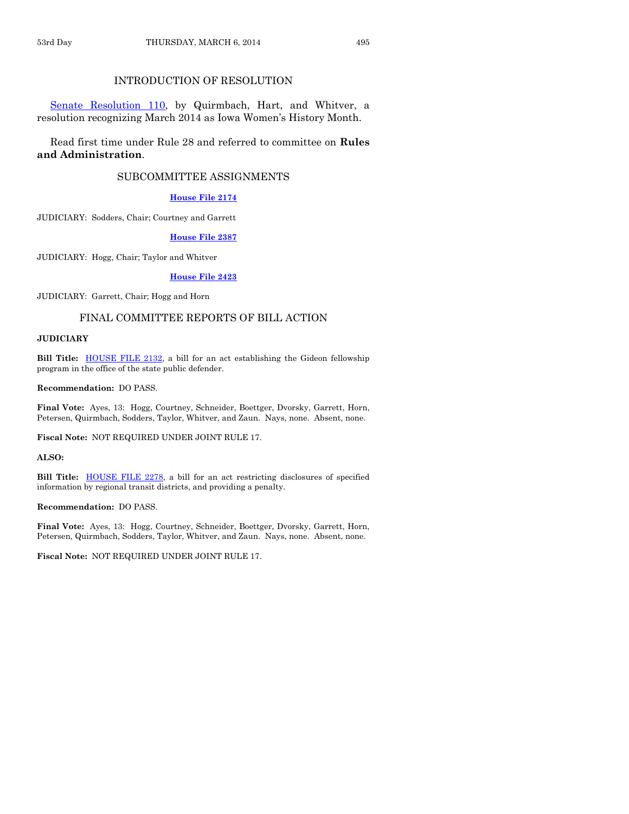## INTRODUCTION OF RESOLUTION

[Senate Resolution 110,](http://coolice.legis.iowa.gov/Cool-ICE/default.asp?Category=billinfo&Service=Billbook&frame=1&GA=85&hbill=SR110) by Quirmbach, Hart, and Whitver, a resolution recognizing March 2014 as Iowa Women's History Month.

Read first time under Rule 28 and referred to committee on **Rules and Administration**.

## SUBCOMMITTEE ASSIGNMENTS

#### **[House File 2174](http://coolice.legis.iowa.gov/Cool-ICE/default.asp?Category=billinfo&Service=Billbook&frame=1&GA=85&hbill=HF2174)**

JUDICIARY: Sodders, Chair; Courtney and Garrett

## **[House File 2387](http://coolice.legis.iowa.gov/Cool-ICE/default.asp?Category=billinfo&Service=Billbook&frame=1&GA=85&hbill=HF2387)**

JUDICIARY: Hogg, Chair; Taylor and Whitver

## **[House File 2423](http://coolice.legis.iowa.gov/Cool-ICE/default.asp?Category=billinfo&Service=Billbook&frame=1&GA=85&hbill=HF2423)**

JUDICIARY: Garrett, Chair; Hogg and Horn

## FINAL COMMITTEE REPORTS OF BILL ACTION

#### **JUDICIARY**

Bill Title: **HOUSE FILE 2132**, a bill for an act establishing the Gideon fellowship program in the office of the state public defender.

#### **Recommendation:** DO PASS.

**Final Vote:** Ayes, 13: Hogg, Courtney, Schneider, Boettger, Dvorsky, Garrett, Horn, Petersen, Quirmbach, Sodders, Taylor, Whitver, and Zaun. Nays, none. Absent, none.

**Fiscal Note:** NOT REQUIRED UNDER JOINT RULE 17.

#### **ALSO:**

**Bill Title:** [HOUSE FILE 2278,](http://coolice.legis.iowa.gov/Cool-ICE/default.asp?Category=billinfo&Service=Billbook&frame=1&GA=85&hbill=HF2278) a bill for an act restricting disclosures of specified information by regional transit districts, and providing a penalty.

#### **Recommendation:** DO PASS.

**Final Vote:** Ayes, 13: Hogg, Courtney, Schneider, Boettger, Dvorsky, Garrett, Horn, Petersen, Quirmbach, Sodders, Taylor, Whitver, and Zaun. Nays, none. Absent, none.

**Fiscal Note:** NOT REQUIRED UNDER JOINT RULE 17.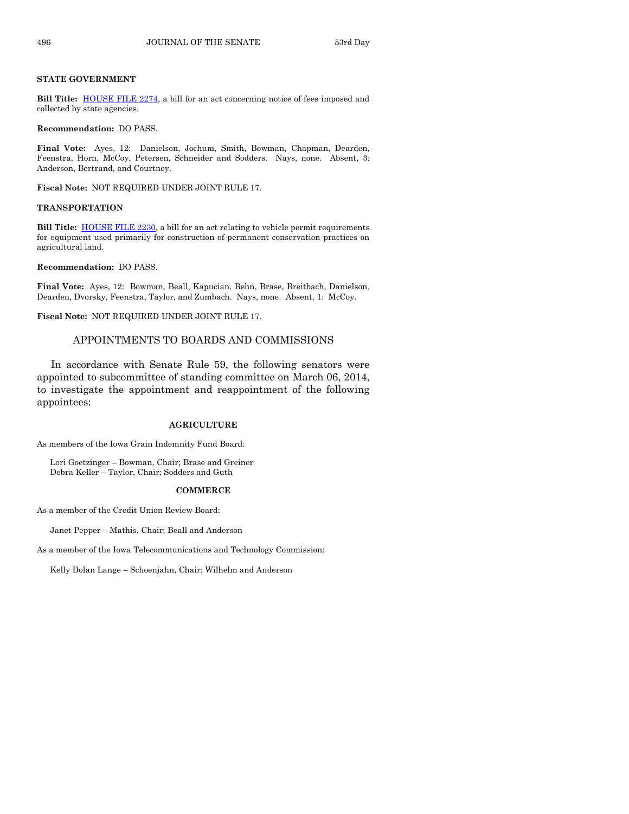#### **STATE GOVERNMENT**

**Bill Title:** [HOUSE FILE 2274,](http://coolice.legis.iowa.gov/Cool-ICE/default.asp?Category=billinfo&Service=Billbook&frame=1&GA=85&hbill=HF2274) a bill for an act concerning notice of fees imposed and collected by state agencies.

#### **Recommendation:** DO PASS.

**Final Vote:** Ayes, 12: Danielson, Jochum, Smith, Bowman, Chapman, Dearden, Feenstra, Horn, McCoy, Petersen, Schneider and Sodders. Nays, none. Absent, 3: Anderson, Bertrand, and Courtney.

**Fiscal Note:** NOT REQUIRED UNDER JOINT RULE 17.

#### **TRANSPORTATION**

**Bill Title:** [HOUSE FILE 2230,](http://coolice.legis.iowa.gov/Cool-ICE/default.asp?Category=billinfo&Service=Billbook&frame=1&GA=85&hbill=HF2230) a bill for an act relating to vehicle permit requirements for equipment used primarily for construction of permanent conservation practices on agricultural land.

#### **Recommendation:** DO PASS.

**Final Vote:** Ayes, 12: Bowman, Beall, Kapucian, Behn, Brase, Breitbach, Danielson, Dearden, Dvorsky, Feenstra, Taylor, and Zumbach. Nays, none. Absent, 1: McCoy.

**Fiscal Note:** NOT REQUIRED UNDER JOINT RULE 17.

## APPOINTMENTS TO BOARDS AND COMMISSIONS

In accordance with Senate Rule 59, the following senators were appointed to subcommittee of standing committee on March 06, 2014, to investigate the appointment and reappointment of the following appointees:

#### **AGRICULTURE**

As members of the Iowa Grain Indemnity Fund Board:

Lori Goetzinger – Bowman, Chair; Brase and Greiner Debra Keller – Taylor, Chair; Sodders and Guth

#### **COMMERCE**

As a member of the Credit Union Review Board:

Janet Pepper – Mathis, Chair; Beall and Anderson

As a member of the Iowa Telecommunications and Technology Commission:

Kelly Dolan Lange – Schoenjahn, Chair; Wilhelm and Anderson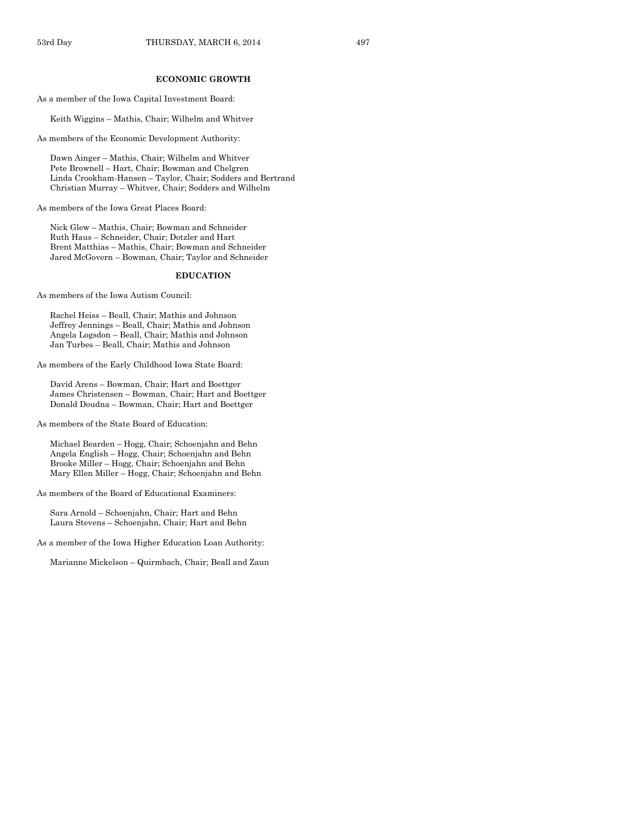#### **ECONOMIC GROWTH**

As a member of the Iowa Capital Investment Board:

Keith Wiggins – Mathis, Chair; Wilhelm and Whitver

As members of the Economic Development Authority:

Dawn Ainger – Mathis, Chair; Wilhelm and Whitver Pete Brownell – Hart, Chair; Bowman and Chelgren Linda Crookham-Hansen – Taylor, Chair; Sodders and Bertrand Christian Murray – Whitver, Chair; Sodders and Wilhelm

As members of the Iowa Great Places Board:

Nick Glew – Mathis, Chair; Bowman and Schneider Ruth Haus – Schneider, Chair; Dotzler and Hart Brent Matthias – Mathis, Chair; Bowman and Schneider Jared McGovern – Bowman, Chair; Taylor and Schneider

#### **EDUCATION**

As members of the Iowa Autism Council:

Rachel Heiss – Beall, Chair; Mathis and Johnson Jeffrey Jennings – Beall, Chair; Mathis and Johnson Angela Logsdon – Beall, Chair; Mathis and Johnson Jan Turbes – Beall, Chair; Mathis and Johnson

As members of the Early Childhood Iowa State Board:

David Arens – Bowman, Chair; Hart and Boettger James Christensen – Bowman, Chair; Hart and Boettger Donald Doudna – Bowman, Chair; Hart and Boettger

As members of the State Board of Education:

Michael Bearden – Hogg, Chair; Schoenjahn and Behn Angela English – Hogg, Chair; Schoenjahn and Behn Brooke Miller – Hogg, Chair; Schoenjahn and Behn Mary Ellen Miller – Hogg, Chair; Schoenjahn and Behn

As members of the Board of Educational Examiners:

Sara Arnold – Schoenjahn, Chair; Hart and Behn Laura Stevens – Schoenjahn, Chair; Hart and Behn

As a member of the Iowa Higher Education Loan Authority:

Marianne Mickelson – Quirmbach, Chair; Beall and Zaun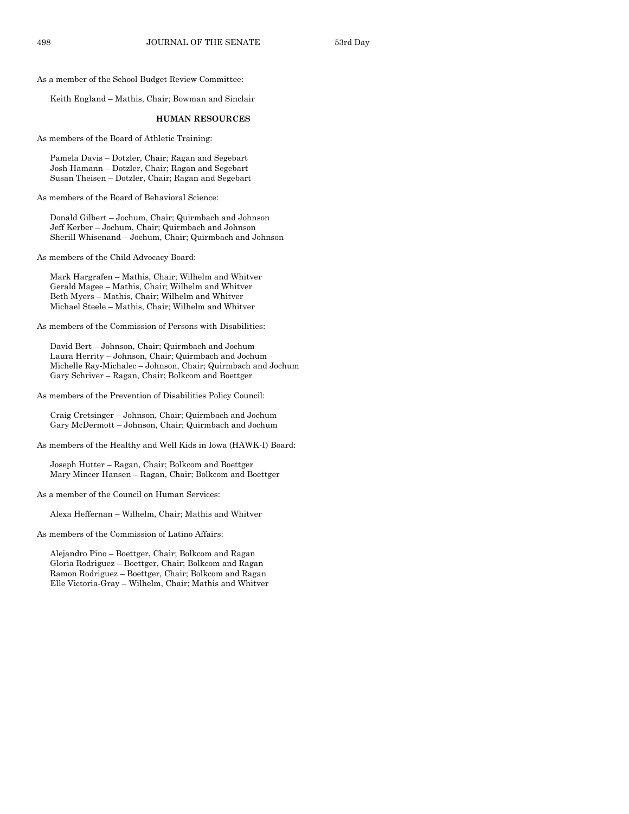As a member of the School Budget Review Committee:

Keith England – Mathis, Chair; Bowman and Sinclair

#### **HUMAN RESOURCES**

As members of the Board of Athletic Training:

Pamela Davis – Dotzler, Chair; Ragan and Segebart Josh Hamann – Dotzler, Chair; Ragan and Segebart Susan Theisen – Dotzler, Chair; Ragan and Segebart

As members of the Board of Behavioral Science:

Donald Gilbert – Jochum, Chair; Quirmbach and Johnson Jeff Kerber – Jochum, Chair; Quirmbach and Johnson Sherill Whisenand – Jochum, Chair; Quirmbach and Johnson

As members of the Child Advocacy Board:

Mark Hargrafen – Mathis, Chair; Wilhelm and Whitver Gerald Magee – Mathis, Chair; Wilhelm and Whitver Beth Myers – Mathis, Chair; Wilhelm and Whitver Michael Steele – Mathis, Chair; Wilhelm and Whitver

As members of the Commission of Persons with Disabilities:

David Bert – Johnson, Chair; Quirmbach and Jochum Laura Herrity – Johnson, Chair; Quirmbach and Jochum Michelle Ray-Michalec – Johnson, Chair; Quirmbach and Jochum Gary Schriver – Ragan, Chair; Bolkcom and Boettger

As members of the Prevention of Disabilities Policy Council:

Craig Cretsinger – Johnson, Chair; Quirmbach and Jochum Gary McDermott – Johnson, Chair; Quirmbach and Jochum

As members of the Healthy and Well Kids in Iowa (HAWK-I) Board:

Joseph Hutter – Ragan, Chair; Bolkcom and Boettger Mary Mincer Hansen – Ragan, Chair; Bolkcom and Boettger

As a member of the Council on Human Services:

Alexa Heffernan – Wilhelm, Chair; Mathis and Whitver

As members of the Commission of Latino Affairs:

Alejandro Pino – Boettger, Chair; Bolkcom and Ragan Gloria Rodriguez – Boettger, Chair; Bolkcom and Ragan Ramon Rodriguez – Boettger, Chair; Bolkcom and Ragan Elle Victoria-Gray – Wilhelm, Chair; Mathis and Whitver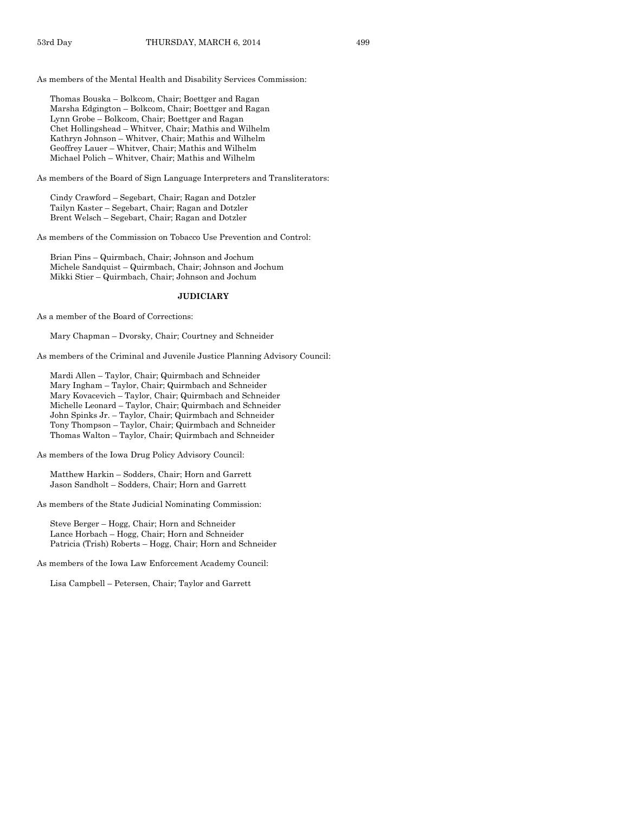As members of the Mental Health and Disability Services Commission:

Thomas Bouska – Bolkcom, Chair; Boettger and Ragan Marsha Edgington – Bolkcom, Chair; Boettger and Ragan Lynn Grobe – Bolkcom, Chair; Boettger and Ragan Chet Hollingshead – Whitver, Chair; Mathis and Wilhelm Kathryn Johnson – Whitver, Chair; Mathis and Wilhelm Geoffrey Lauer – Whitver, Chair; Mathis and Wilhelm Michael Polich – Whitver, Chair; Mathis and Wilhelm

As members of the Board of Sign Language Interpreters and Transliterators:

Cindy Crawford – Segebart, Chair; Ragan and Dotzler Tailyn Kaster – Segebart, Chair; Ragan and Dotzler Brent Welsch – Segebart, Chair; Ragan and Dotzler

As members of the Commission on Tobacco Use Prevention and Control:

Brian Pins – Quirmbach, Chair; Johnson and Jochum Michele Sandquist – Quirmbach, Chair; Johnson and Jochum Mikki Stier – Quirmbach, Chair; Johnson and Jochum

#### **JUDICIARY**

As a member of the Board of Corrections:

Mary Chapman – Dvorsky, Chair; Courtney and Schneider

As members of the Criminal and Juvenile Justice Planning Advisory Council:

Mardi Allen – Taylor, Chair; Quirmbach and Schneider Mary Ingham – Taylor, Chair; Quirmbach and Schneider Mary Kovacevich – Taylor, Chair; Quirmbach and Schneider Michelle Leonard – Taylor, Chair; Quirmbach and Schneider John Spinks Jr. – Taylor, Chair; Quirmbach and Schneider Tony Thompson – Taylor, Chair; Quirmbach and Schneider Thomas Walton – Taylor, Chair; Quirmbach and Schneider

As members of the Iowa Drug Policy Advisory Council:

Matthew Harkin – Sodders, Chair; Horn and Garrett Jason Sandholt – Sodders, Chair; Horn and Garrett

As members of the State Judicial Nominating Commission:

Steve Berger – Hogg, Chair; Horn and Schneider Lance Horbach – Hogg, Chair; Horn and Schneider Patricia (Trish) Roberts – Hogg, Chair; Horn and Schneider

As members of the Iowa Law Enforcement Academy Council:

Lisa Campbell – Petersen, Chair; Taylor and Garrett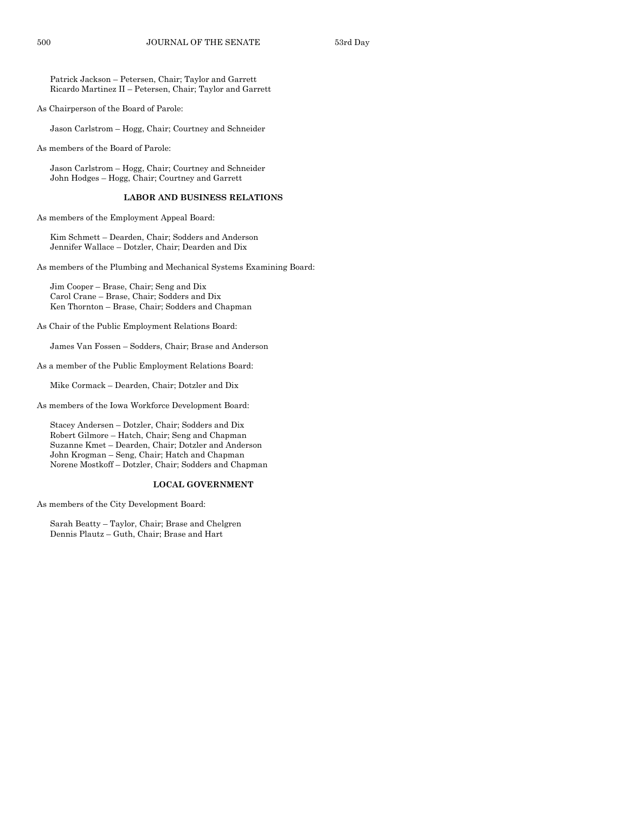Patrick Jackson – Petersen, Chair; Taylor and Garrett Ricardo Martinez II – Petersen, Chair; Taylor and Garrett

As Chairperson of the Board of Parole:

Jason Carlstrom – Hogg, Chair; Courtney and Schneider

As members of the Board of Parole:

Jason Carlstrom – Hogg, Chair; Courtney and Schneider John Hodges – Hogg, Chair; Courtney and Garrett

#### **LABOR AND BUSINESS RELATIONS**

As members of the Employment Appeal Board:

Kim Schmett – Dearden, Chair; Sodders and Anderson Jennifer Wallace – Dotzler, Chair; Dearden and Dix

As members of the Plumbing and Mechanical Systems Examining Board:

Jim Cooper – Brase, Chair; Seng and Dix Carol Crane – Brase, Chair; Sodders and Dix Ken Thornton – Brase, Chair; Sodders and Chapman

As Chair of the Public Employment Relations Board:

James Van Fossen – Sodders, Chair; Brase and Anderson

As a member of the Public Employment Relations Board:

Mike Cormack – Dearden, Chair; Dotzler and Dix

As members of the Iowa Workforce Development Board:

Stacey Andersen – Dotzler, Chair; Sodders and Dix Robert Gilmore – Hatch, Chair; Seng and Chapman Suzanne Kmet – Dearden, Chair; Dotzler and Anderson John Krogman – Seng, Chair; Hatch and Chapman Norene Mostkoff – Dotzler, Chair; Sodders and Chapman

## **LOCAL GOVERNMENT**

As members of the City Development Board:

Sarah Beatty – Taylor, Chair; Brase and Chelgren Dennis Plautz – Guth, Chair; Brase and Hart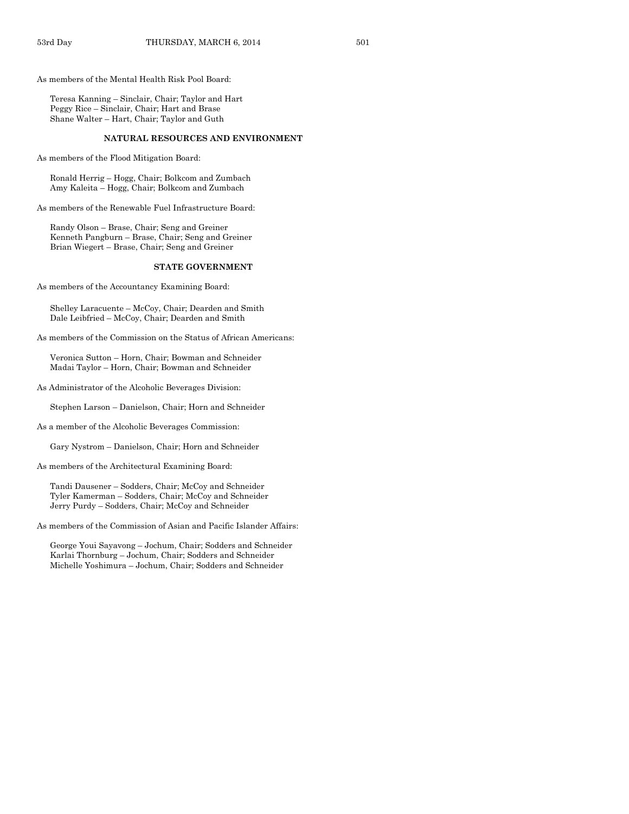As members of the Mental Health Risk Pool Board:

Teresa Kanning – Sinclair, Chair; Taylor and Hart Peggy Rice – Sinclair, Chair; Hart and Brase Shane Walter – Hart, Chair; Taylor and Guth

#### **NATURAL RESOURCES AND ENVIRONMENT**

As members of the Flood Mitigation Board:

Ronald Herrig – Hogg, Chair; Bolkcom and Zumbach Amy Kaleita – Hogg, Chair; Bolkcom and Zumbach

As members of the Renewable Fuel Infrastructure Board:

Randy Olson – Brase, Chair; Seng and Greiner Kenneth Pangburn – Brase, Chair; Seng and Greiner Brian Wiegert – Brase, Chair; Seng and Greiner

#### **STATE GOVERNMENT**

As members of the Accountancy Examining Board:

Shelley Laracuente – McCoy, Chair; Dearden and Smith Dale Leibfried – McCoy, Chair; Dearden and Smith

As members of the Commission on the Status of African Americans:

Veronica Sutton – Horn, Chair; Bowman and Schneider Madai Taylor – Horn, Chair; Bowman and Schneider

As Administrator of the Alcoholic Beverages Division:

Stephen Larson – Danielson, Chair; Horn and Schneider

As a member of the Alcoholic Beverages Commission:

Gary Nystrom – Danielson, Chair; Horn and Schneider

As members of the Architectural Examining Board:

Tandi Dausener – Sodders, Chair; McCoy and Schneider Tyler Kamerman – Sodders, Chair; McCoy and Schneider Jerry Purdy – Sodders, Chair; McCoy and Schneider

As members of the Commission of Asian and Pacific Islander Affairs:

George Youi Sayavong – Jochum, Chair; Sodders and Schneider Karlai Thornburg – Jochum, Chair; Sodders and Schneider Michelle Yoshimura – Jochum, Chair; Sodders and Schneider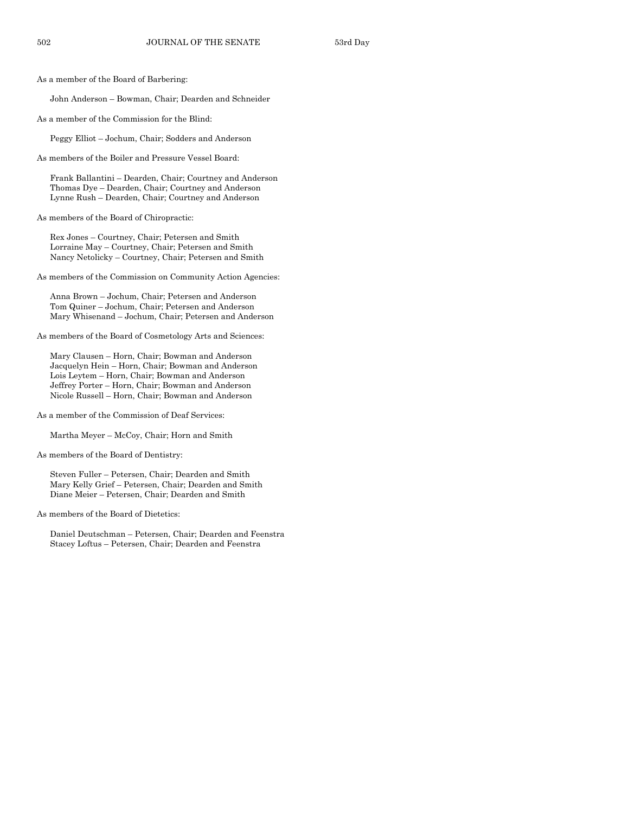As a member of the Board of Barbering:

John Anderson – Bowman, Chair; Dearden and Schneider

As a member of the Commission for the Blind:

Peggy Elliot – Jochum, Chair; Sodders and Anderson

As members of the Boiler and Pressure Vessel Board:

Frank Ballantini – Dearden, Chair; Courtney and Anderson Thomas Dye – Dearden, Chair; Courtney and Anderson Lynne Rush – Dearden, Chair; Courtney and Anderson

As members of the Board of Chiropractic:

Rex Jones – Courtney, Chair; Petersen and Smith Lorraine May – Courtney, Chair; Petersen and Smith Nancy Netolicky – Courtney, Chair; Petersen and Smith

As members of the Commission on Community Action Agencies:

Anna Brown – Jochum, Chair; Petersen and Anderson Tom Quiner – Jochum, Chair; Petersen and Anderson Mary Whisenand – Jochum, Chair; Petersen and Anderson

As members of the Board of Cosmetology Arts and Sciences:

Mary Clausen – Horn, Chair; Bowman and Anderson Jacquelyn Hein – Horn, Chair; Bowman and Anderson Lois Leytem – Horn, Chair; Bowman and Anderson Jeffrey Porter – Horn, Chair; Bowman and Anderson Nicole Russell – Horn, Chair; Bowman and Anderson

As a member of the Commission of Deaf Services:

Martha Meyer – McCoy, Chair; Horn and Smith

As members of the Board of Dentistry:

Steven Fuller – Petersen, Chair; Dearden and Smith Mary Kelly Grief – Petersen, Chair; Dearden and Smith Diane Meier – Petersen, Chair; Dearden and Smith

As members of the Board of Dietetics:

Daniel Deutschman – Petersen, Chair; Dearden and Feenstra Stacey Loftus – Petersen, Chair; Dearden and Feenstra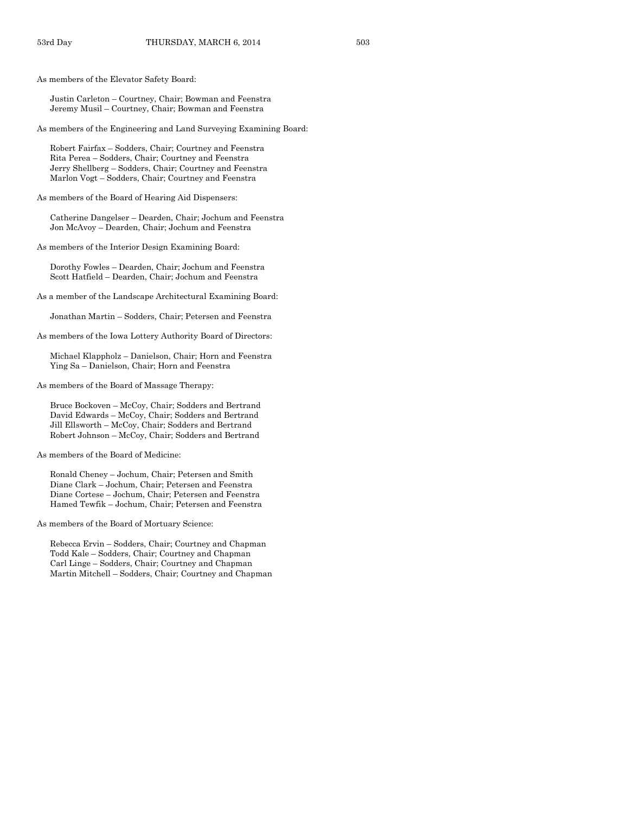As members of the Elevator Safety Board:

Justin Carleton – Courtney, Chair; Bowman and Feenstra Jeremy Musil – Courtney, Chair; Bowman and Feenstra

As members of the Engineering and Land Surveying Examining Board:

Robert Fairfax – Sodders, Chair; Courtney and Feenstra Rita Perea – Sodders, Chair; Courtney and Feenstra Jerry Shellberg – Sodders, Chair; Courtney and Feenstra Marlon Vogt – Sodders, Chair; Courtney and Feenstra

As members of the Board of Hearing Aid Dispensers:

Catherine Dangelser – Dearden, Chair; Jochum and Feenstra Jon McAvoy – Dearden, Chair; Jochum and Feenstra

As members of the Interior Design Examining Board:

Dorothy Fowles – Dearden, Chair; Jochum and Feenstra Scott Hatfield – Dearden, Chair; Jochum and Feenstra

As a member of the Landscape Architectural Examining Board:

Jonathan Martin – Sodders, Chair; Petersen and Feenstra

As members of the Iowa Lottery Authority Board of Directors:

Michael Klappholz – Danielson, Chair; Horn and Feenstra Ying Sa – Danielson, Chair; Horn and Feenstra

As members of the Board of Massage Therapy:

Bruce Bockoven – McCoy, Chair; Sodders and Bertrand David Edwards – McCoy, Chair; Sodders and Bertrand Jill Ellsworth – McCoy, Chair; Sodders and Bertrand Robert Johnson – McCoy, Chair; Sodders and Bertrand

As members of the Board of Medicine:

Ronald Cheney – Jochum, Chair; Petersen and Smith Diane Clark – Jochum, Chair; Petersen and Feenstra Diane Cortese – Jochum, Chair; Petersen and Feenstra Hamed Tewfik – Jochum, Chair; Petersen and Feenstra

As members of the Board of Mortuary Science:

Rebecca Ervin – Sodders, Chair; Courtney and Chapman Todd Kale – Sodders, Chair; Courtney and Chapman Carl Linge – Sodders, Chair; Courtney and Chapman Martin Mitchell – Sodders, Chair; Courtney and Chapman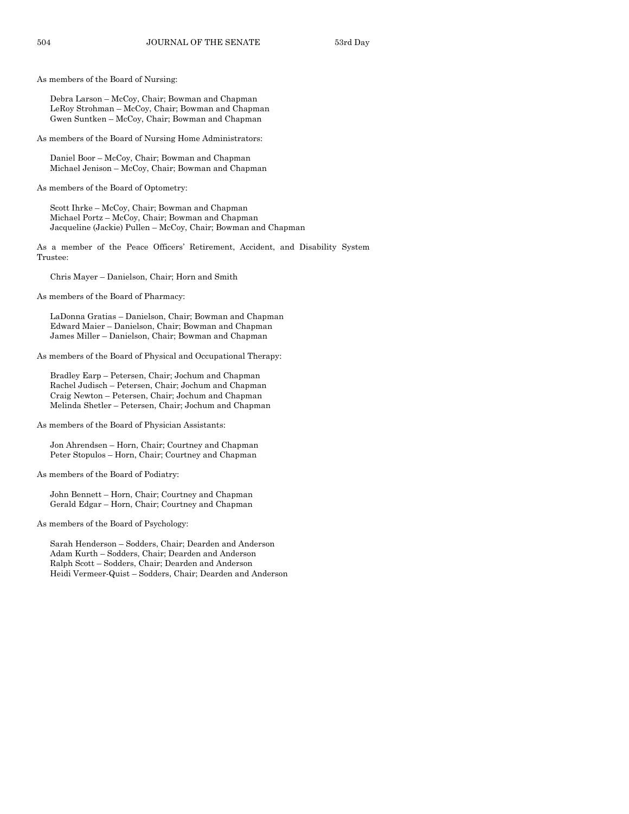As members of the Board of Nursing:

Debra Larson – McCoy, Chair; Bowman and Chapman LeRoy Strohman – McCoy, Chair; Bowman and Chapman Gwen Suntken – McCoy, Chair; Bowman and Chapman

As members of the Board of Nursing Home Administrators:

Daniel Boor – McCoy, Chair; Bowman and Chapman Michael Jenison – McCoy, Chair; Bowman and Chapman

As members of the Board of Optometry:

Scott Ihrke – McCoy, Chair; Bowman and Chapman Michael Portz – McCoy, Chair; Bowman and Chapman Jacqueline (Jackie) Pullen – McCoy, Chair; Bowman and Chapman

As a member of the Peace Officers' Retirement, Accident, and Disability System Trustee:

Chris Mayer – Danielson, Chair; Horn and Smith

As members of the Board of Pharmacy:

LaDonna Gratias – Danielson, Chair; Bowman and Chapman Edward Maier – Danielson, Chair; Bowman and Chapman James Miller – Danielson, Chair; Bowman and Chapman

As members of the Board of Physical and Occupational Therapy:

Bradley Earp – Petersen, Chair; Jochum and Chapman Rachel Judisch – Petersen, Chair; Jochum and Chapman Craig Newton – Petersen, Chair; Jochum and Chapman Melinda Shetler – Petersen, Chair; Jochum and Chapman

As members of the Board of Physician Assistants:

Jon Ahrendsen – Horn, Chair; Courtney and Chapman Peter Stopulos – Horn, Chair; Courtney and Chapman

As members of the Board of Podiatry:

John Bennett – Horn, Chair; Courtney and Chapman Gerald Edgar – Horn, Chair; Courtney and Chapman

As members of the Board of Psychology:

Sarah Henderson – Sodders, Chair; Dearden and Anderson Adam Kurth – Sodders, Chair; Dearden and Anderson Ralph Scott – Sodders, Chair; Dearden and Anderson Heidi Vermeer-Quist – Sodders, Chair; Dearden and Anderson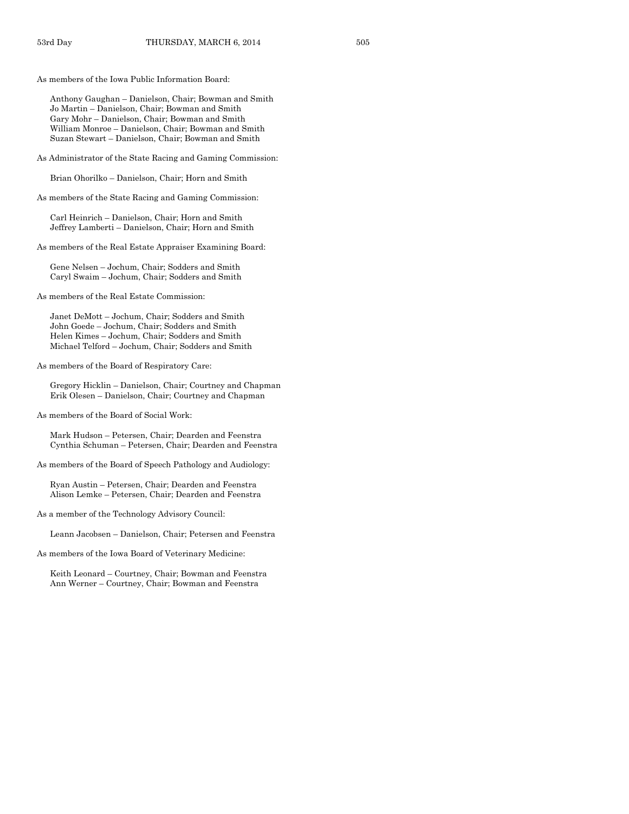As members of the Iowa Public Information Board:

Anthony Gaughan – Danielson, Chair; Bowman and Smith Jo Martin – Danielson, Chair; Bowman and Smith Gary Mohr – Danielson, Chair; Bowman and Smith William Monroe – Danielson, Chair; Bowman and Smith Suzan Stewart – Danielson, Chair; Bowman and Smith

As Administrator of the State Racing and Gaming Commission:

Brian Ohorilko – Danielson, Chair; Horn and Smith

As members of the State Racing and Gaming Commission:

Carl Heinrich – Danielson, Chair; Horn and Smith Jeffrey Lamberti – Danielson, Chair; Horn and Smith

As members of the Real Estate Appraiser Examining Board:

Gene Nelsen – Jochum, Chair; Sodders and Smith Caryl Swaim – Jochum, Chair; Sodders and Smith

As members of the Real Estate Commission:

Janet DeMott – Jochum, Chair; Sodders and Smith John Goede – Jochum, Chair; Sodders and Smith Helen Kimes – Jochum, Chair; Sodders and Smith Michael Telford – Jochum, Chair; Sodders and Smith

As members of the Board of Respiratory Care:

Gregory Hicklin – Danielson, Chair; Courtney and Chapman Erik Olesen – Danielson, Chair; Courtney and Chapman

As members of the Board of Social Work:

Mark Hudson – Petersen, Chair; Dearden and Feenstra Cynthia Schuman – Petersen, Chair; Dearden and Feenstra

As members of the Board of Speech Pathology and Audiology:

Ryan Austin – Petersen, Chair; Dearden and Feenstra Alison Lemke – Petersen, Chair; Dearden and Feenstra

As a member of the Technology Advisory Council:

Leann Jacobsen – Danielson, Chair; Petersen and Feenstra

As members of the Iowa Board of Veterinary Medicine:

Keith Leonard – Courtney, Chair; Bowman and Feenstra Ann Werner – Courtney, Chair; Bowman and Feenstra